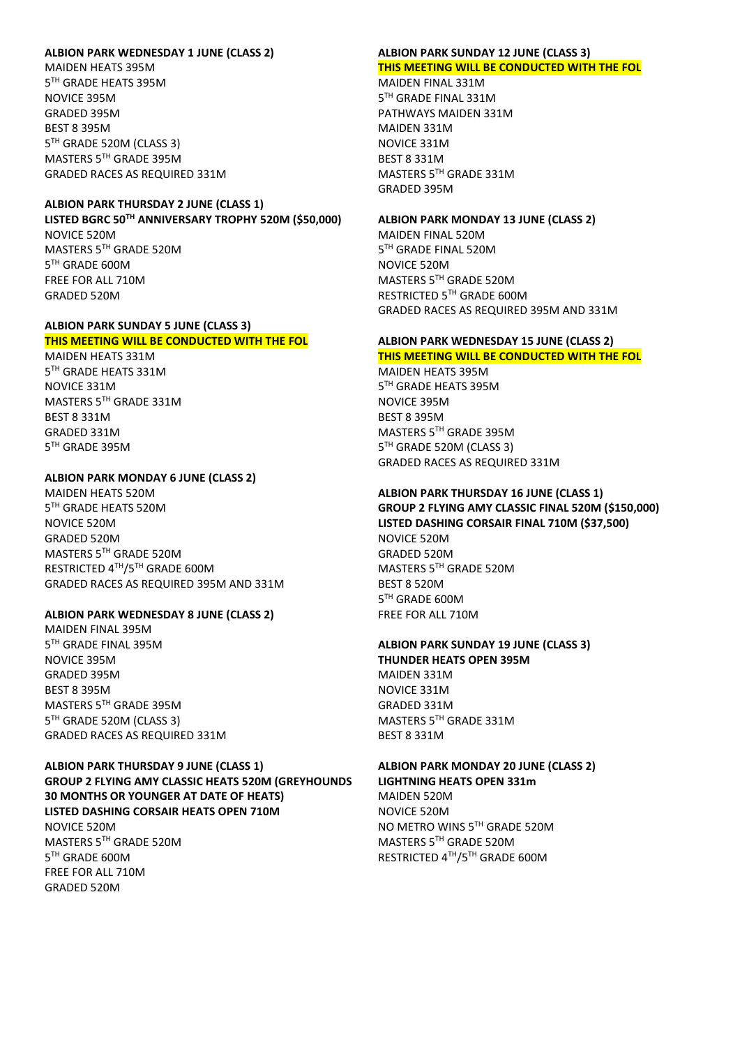### **ALBION PARK WEDNESDAY 1 JUNE (CLASS 2)**

MAIDEN HEATS 395M 5 TH GRADE HEATS 395M NOVICE 395M GRADED 395M BEST 8 395M 5 TH GRADE 520M (CLASS 3) MASTERS 5TH GRADE 395M GRADED RACES AS REQUIRED 331M

### **ALBION PARK THURSDAY 2 JUNE (CLASS 1) LISTED BGRC 50TH ANNIVERSARY TROPHY 520M (\$50,000)**  NOVICE 520M MASTERS 5TH GRADE 520M 5 TH GRADE 600M FREE FOR ALL 710M GRADED 520M

#### **ALBION PARK SUNDAY 5 JUNE (CLASS 3) THIS MEETING WILL BE CONDUCTED WITH THE FOL**

MAIDEN HEATS 331M 5 TH GRADE HEATS 331M NOVICE 331M MASTERS 5TH GRADE 331M BEST 8 331M GRADED 331M 5 TH GRADE 395M

## **ALBION PARK MONDAY 6 JUNE (CLASS 2)**

MAIDEN HEATS 520M 5 TH GRADE HEATS 520M NOVICE 520M GRADED 520M MASTERS 5TH GRADE 520M RESTRICTED 4TH/5TH GRADE 600M GRADED RACES AS REQUIRED 395M AND 331M

#### **ALBION PARK WEDNESDAY 8 JUNE (CLASS 2)**

MAIDEN FINAL 395M 5 TH GRADE FINAL 395M NOVICE 395M GRADED 395M BEST 8 395M MASTERS 5TH GRADE 395M 5 TH GRADE 520M (CLASS 3) GRADED RACES AS REQUIRED 331M

**ALBION PARK THURSDAY 9 JUNE (CLASS 1) GROUP 2 FLYING AMY CLASSIC HEATS 520M (GREYHOUNDS 30 MONTHS OR YOUNGER AT DATE OF HEATS) LISTED DASHING CORSAIR HEATS OPEN 710M**  NOVICE 520M MASTERS 5TH GRADE 520M 5 TH GRADE 600M FREE FOR ALL 710M GRADED 520M

# **ALBION PARK SUNDAY 12 JUNE (CLASS 3) THIS MEETING WILL BE CONDUCTED WITH THE FOL**

MAIDEN FINAL 331M 5 TH GRADE FINAL 331M PATHWAYS MAIDEN 331M MAIDEN 331M NOVICE 331M BEST 8 331M MASTERS 5TH GRADE 331M GRADED 395M

#### **ALBION PARK MONDAY 13 JUNE (CLASS 2)**

MAIDEN FINAL 520M 5 TH GRADE FINAL 520M NOVICE 520M MASTERS 5TH GRADE 520M RESTRICTED 5TH GRADE 600M GRADED RACES AS REQUIRED 395M AND 331M

#### **ALBION PARK WEDNESDAY 15 JUNE (CLASS 2) THIS MEETING WILL BE CONDUCTED WITH THE FOL**

MAIDEN HEATS 395M 5 TH GRADE HEATS 395M NOVICE 395M BEST 8 395M MASTERS 5TH GRADE 395M 5 TH GRADE 520M (CLASS 3) GRADED RACES AS REQUIRED 331M

## **ALBION PARK THURSDAY 16 JUNE (CLASS 1) GROUP 2 FLYING AMY CLASSIC FINAL 520M (\$150,000) LISTED DASHING CORSAIR FINAL 710M (\$37,500)** NOVICE 520M GRADED 520M MASTERS 5TH GRADE 520M BEST 8 520M 5 TH GRADE 600M FREE FOR ALL 710M

## **ALBION PARK SUNDAY 19 JUNE (CLASS 3) THUNDER HEATS OPEN 395M** MAIDEN 331M NOVICE 331M GRADED 331M MASTERS 5TH GRADE 331M BEST 8 331M

**ALBION PARK MONDAY 20 JUNE (CLASS 2)**

**LIGHTNING HEATS OPEN 331m** MAIDEN 520M NOVICE 520M NO METRO WINS 5TH GRADE 520M MASTERS 5TH GRADE 520M RESTRICTED 4TH/5TH GRADE 600M